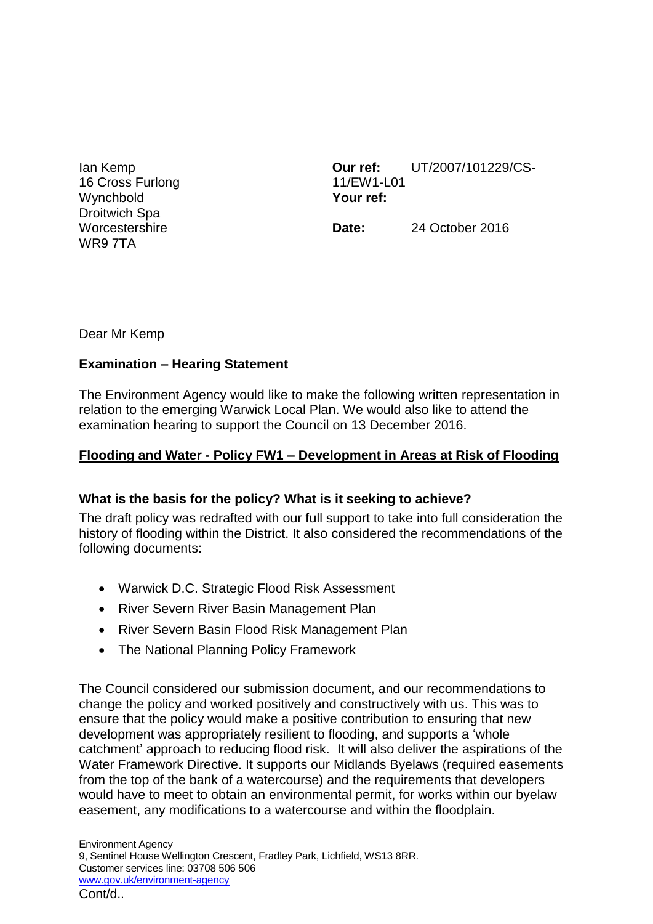Ian Kemp 16 Cross Furlong **Wynchbold** Droitwich Spa **Worcestershire** WR9 7TA

**Our ref:** UT/2007/101229/CS-11/EW1-L01 **Your ref:**

**Date:** 24 October 2016

Dear Mr Kemp

## **Examination – Hearing Statement**

The Environment Agency would like to make the following written representation in relation to the emerging Warwick Local Plan. We would also like to attend the examination hearing to support the Council on 13 December 2016.

#### **Flooding and Water - Policy FW1 – Development in Areas at Risk of Flooding**

#### **What is the basis for the policy? What is it seeking to achieve?**

The draft policy was redrafted with our full support to take into full consideration the history of flooding within the District. It also considered the recommendations of the following documents:

- Warwick D.C. Strategic Flood Risk Assessment
- River Severn River Basin Management Plan
- River Severn Basin Flood Risk Management Plan
- The National Planning Policy Framework

The Council considered our submission document, and our recommendations to change the policy and worked positively and constructively with us. This was to ensure that the policy would make a positive contribution to ensuring that new development was appropriately resilient to flooding, and supports a 'whole catchment' approach to reducing flood risk. It will also deliver the aspirations of the Water Framework Directive. It supports our Midlands Byelaws (required easements from the top of the bank of a watercourse) and the requirements that developers would have to meet to obtain an environmental permit, for works within our byelaw easement, any modifications to a watercourse and within the floodplain.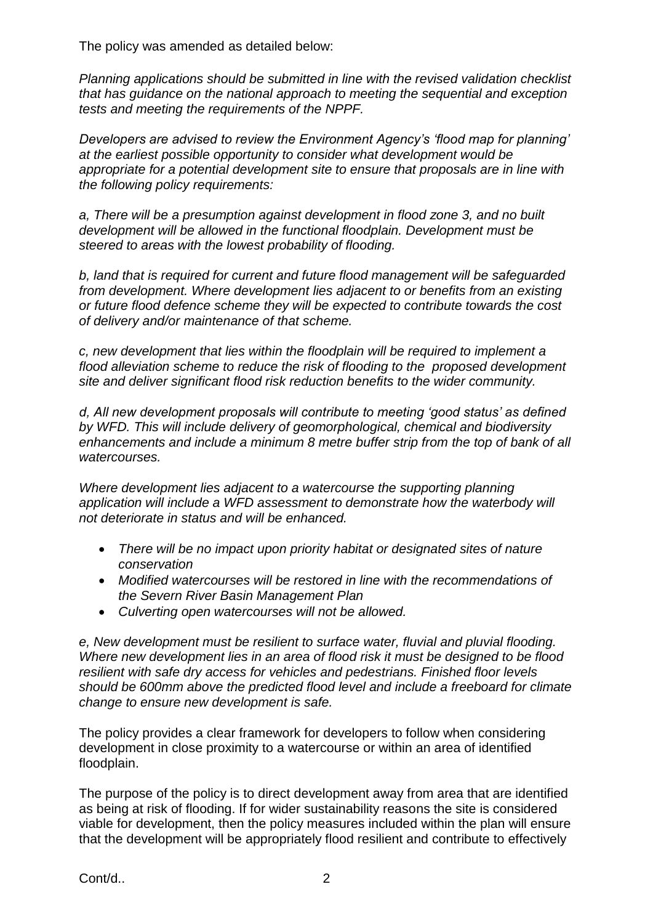The policy was amended as detailed below:

*Planning applications should be submitted in line with the revised validation checklist that has guidance on the national approach to meeting the sequential and exception tests and meeting the requirements of the NPPF.*

*Developers are advised to review the Environment Agency's 'flood map for planning' at the earliest possible opportunity to consider what development would be appropriate for a potential development site to ensure that proposals are in line with the following policy requirements:* 

*a, There will be a presumption against development in flood zone 3, and no built development will be allowed in the functional floodplain. Development must be steered to areas with the lowest probability of flooding.*

*b, land that is required for current and future flood management will be safeguarded from development. Where development lies adjacent to or benefits from an existing or future flood defence scheme they will be expected to contribute towards the cost of delivery and/or maintenance of that scheme.* 

*c, new development that lies within the floodplain will be required to implement a flood alleviation scheme to reduce the risk of flooding to the proposed development site and deliver significant flood risk reduction benefits to the wider community.* 

*d, All new development proposals will contribute to meeting 'good status' as defined by WFD. This will include delivery of geomorphological, chemical and biodiversity enhancements and include a minimum 8 metre buffer strip from the top of bank of all watercourses.* 

Where development lies adjacent to a watercourse the supporting planning *application will include a WFD assessment to demonstrate how the waterbody will not deteriorate in status and will be enhanced.*

- *There will be no impact upon priority habitat or designated sites of nature conservation*
- *Modified watercourses will be restored in line with the recommendations of the Severn River Basin Management Plan*
- *Culverting open watercourses will not be allowed.*

*e, New development must be resilient to surface water, fluvial and pluvial flooding. Where new development lies in an area of flood risk it must be designed to be flood resilient with safe dry access for vehicles and pedestrians. Finished floor levels should be 600mm above the predicted flood level and include a freeboard for climate change to ensure new development is safe.*

The policy provides a clear framework for developers to follow when considering development in close proximity to a watercourse or within an area of identified floodplain.

The purpose of the policy is to direct development away from area that are identified as being at risk of flooding. If for wider sustainability reasons the site is considered viable for development, then the policy measures included within the plan will ensure that the development will be appropriately flood resilient and contribute to effectively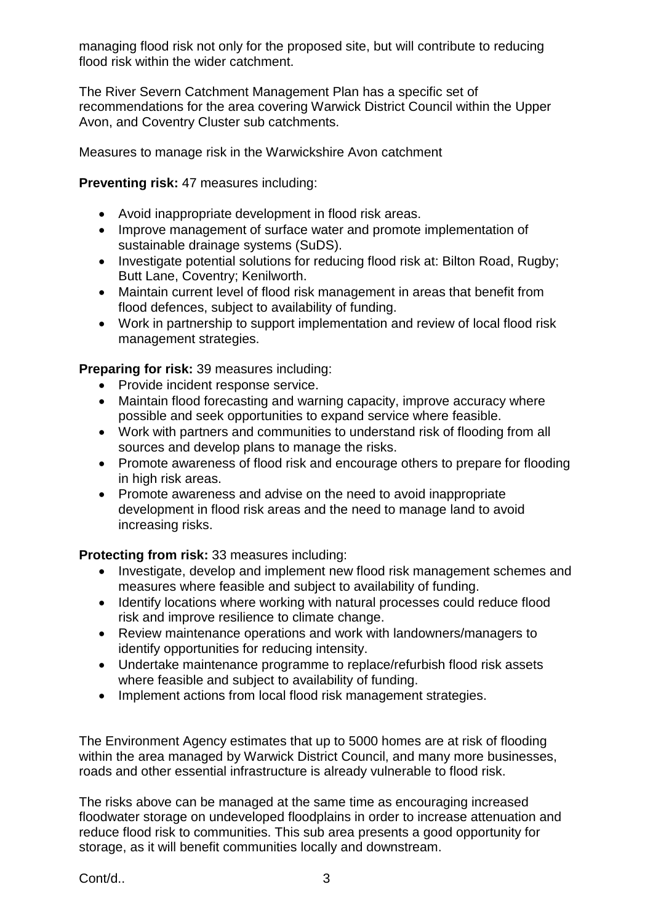managing flood risk not only for the proposed site, but will contribute to reducing flood risk within the wider catchment.

The River Severn Catchment Management Plan has a specific set of recommendations for the area covering Warwick District Council within the Upper Avon, and Coventry Cluster sub catchments.

Measures to manage risk in the Warwickshire Avon catchment

## **Preventing risk:** 47 measures including:

- Avoid inappropriate development in flood risk areas.
- Improve management of surface water and promote implementation of sustainable drainage systems (SuDS).
- Investigate potential solutions for reducing flood risk at: Bilton Road, Rugby; Butt Lane, Coventry; Kenilworth.
- Maintain current level of flood risk management in areas that benefit from flood defences, subject to availability of funding.
- Work in partnership to support implementation and review of local flood risk management strategies.

**Preparing for risk:** 39 measures including:

- Provide incident response service.
- Maintain flood forecasting and warning capacity, improve accuracy where possible and seek opportunities to expand service where feasible.
- Work with partners and communities to understand risk of flooding from all sources and develop plans to manage the risks.
- Promote awareness of flood risk and encourage others to prepare for flooding in high risk areas.
- Promote awareness and advise on the need to avoid inappropriate development in flood risk areas and the need to manage land to avoid increasing risks.

**Protecting from risk:** 33 measures including:

- Investigate, develop and implement new flood risk management schemes and measures where feasible and subject to availability of funding.
- Identify locations where working with natural processes could reduce flood risk and improve resilience to climate change.
- Review maintenance operations and work with landowners/managers to identify opportunities for reducing intensity.
- Undertake maintenance programme to replace/refurbish flood risk assets where feasible and subject to availability of funding.
- Implement actions from local flood risk management strategies.

The Environment Agency estimates that up to 5000 homes are at risk of flooding within the area managed by Warwick District Council, and many more businesses, roads and other essential infrastructure is already vulnerable to flood risk.

The risks above can be managed at the same time as encouraging increased floodwater storage on undeveloped floodplains in order to increase attenuation and reduce flood risk to communities. This sub area presents a good opportunity for storage, as it will benefit communities locally and downstream.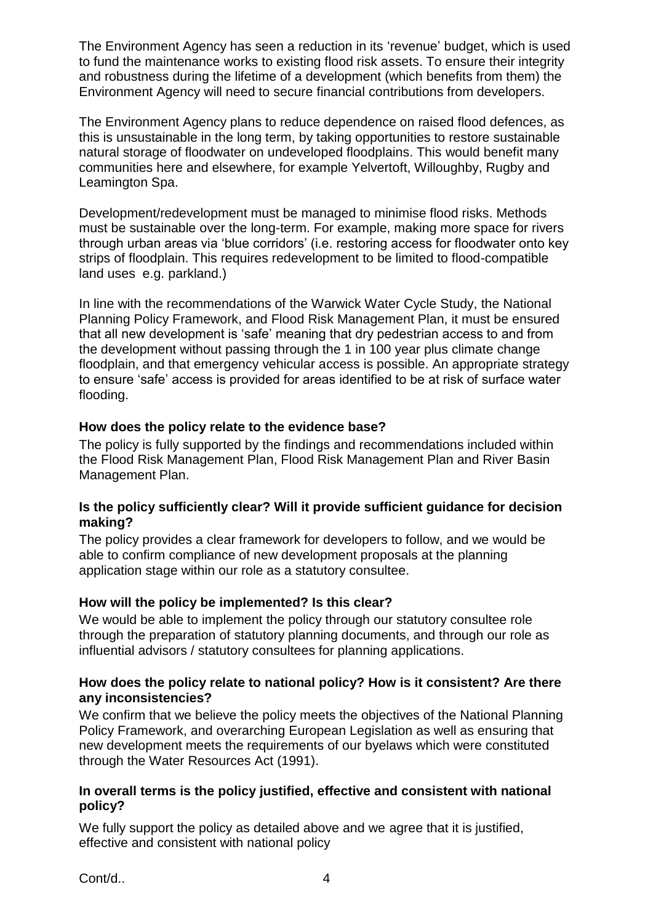The Environment Agency has seen a reduction in its 'revenue' budget, which is used to fund the maintenance works to existing flood risk assets. To ensure their integrity and robustness during the lifetime of a development (which benefits from them) the Environment Agency will need to secure financial contributions from developers.

The Environment Agency plans to reduce dependence on raised flood defences, as this is unsustainable in the long term, by taking opportunities to restore sustainable natural storage of floodwater on undeveloped floodplains. This would benefit many communities here and elsewhere, for example Yelvertoft, Willoughby, Rugby and Leamington Spa.

Development/redevelopment must be managed to minimise flood risks. Methods must be sustainable over the long-term. For example, making more space for rivers through urban areas via 'blue corridors' (i.e. restoring access for floodwater onto key strips of floodplain. This requires redevelopment to be limited to flood-compatible land uses e.g. parkland.)

In line with the recommendations of the Warwick Water Cycle Study, the National Planning Policy Framework, and Flood Risk Management Plan, it must be ensured that all new development is 'safe' meaning that dry pedestrian access to and from the development without passing through the 1 in 100 year plus climate change floodplain, and that emergency vehicular access is possible. An appropriate strategy to ensure 'safe' access is provided for areas identified to be at risk of surface water flooding.

## **How does the policy relate to the evidence base?**

The policy is fully supported by the findings and recommendations included within the Flood Risk Management Plan, Flood Risk Management Plan and River Basin Management Plan.

## **Is the policy sufficiently clear? Will it provide sufficient guidance for decision making?**

The policy provides a clear framework for developers to follow, and we would be able to confirm compliance of new development proposals at the planning application stage within our role as a statutory consultee.

## **How will the policy be implemented? Is this clear?**

We would be able to implement the policy through our statutory consultee role through the preparation of statutory planning documents, and through our role as influential advisors / statutory consultees for planning applications.

#### **How does the policy relate to national policy? How is it consistent? Are there any inconsistencies?**

We confirm that we believe the policy meets the objectives of the National Planning Policy Framework, and overarching European Legislation as well as ensuring that new development meets the requirements of our byelaws which were constituted through the Water Resources Act (1991).

#### **In overall terms is the policy justified, effective and consistent with national policy?**

We fully support the policy as detailed above and we agree that it is justified, effective and consistent with national policy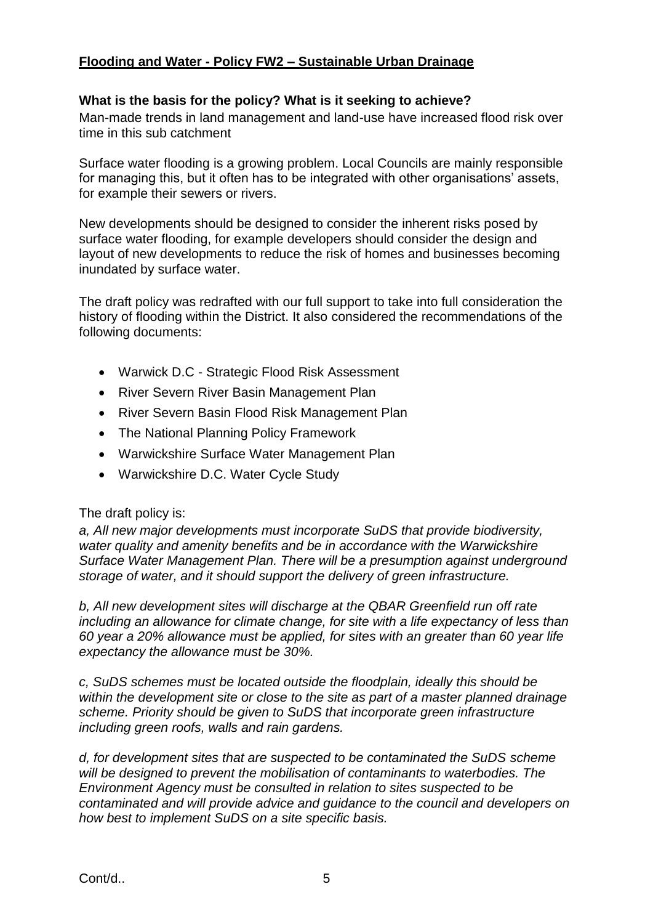# **Flooding and Water - Policy FW2 – Sustainable Urban Drainage**

## **What is the basis for the policy? What is it seeking to achieve?**

Man-made trends in land management and land-use have increased flood risk over time in this sub catchment

Surface water flooding is a growing problem. Local Councils are mainly responsible for managing this, but it often has to be integrated with other organisations' assets, for example their sewers or rivers.

New developments should be designed to consider the inherent risks posed by surface water flooding, for example developers should consider the design and layout of new developments to reduce the risk of homes and businesses becoming inundated by surface water.

The draft policy was redrafted with our full support to take into full consideration the history of flooding within the District. It also considered the recommendations of the following documents:

- Warwick D.C Strategic Flood Risk Assessment
- River Severn River Basin Management Plan
- River Severn Basin Flood Risk Management Plan
- The National Planning Policy Framework
- Warwickshire Surface Water Management Plan
- Warwickshire D.C. Water Cycle Study

#### The draft policy is:

*a, All new major developments must incorporate SuDS that provide biodiversity, water quality and amenity benefits and be in accordance with the Warwickshire Surface Water Management Plan. There will be a presumption against underground storage of water, and it should support the delivery of green infrastructure.*

*b, All new development sites will discharge at the QBAR Greenfield run off rate including an allowance for climate change, for site with a life expectancy of less than 60 year a 20% allowance must be applied, for sites with an greater than 60 year life expectancy the allowance must be 30%.*

*c, SuDS schemes must be located outside the floodplain, ideally this should be within the development site or close to the site as part of a master planned drainage scheme. Priority should be given to SuDS that incorporate green infrastructure including green roofs, walls and rain gardens.*

*d, for development sites that are suspected to be contaminated the SuDS scheme will be designed to prevent the mobilisation of contaminants to waterbodies. The Environment Agency must be consulted in relation to sites suspected to be contaminated and will provide advice and guidance to the council and developers on how best to implement SuDS on a site specific basis.*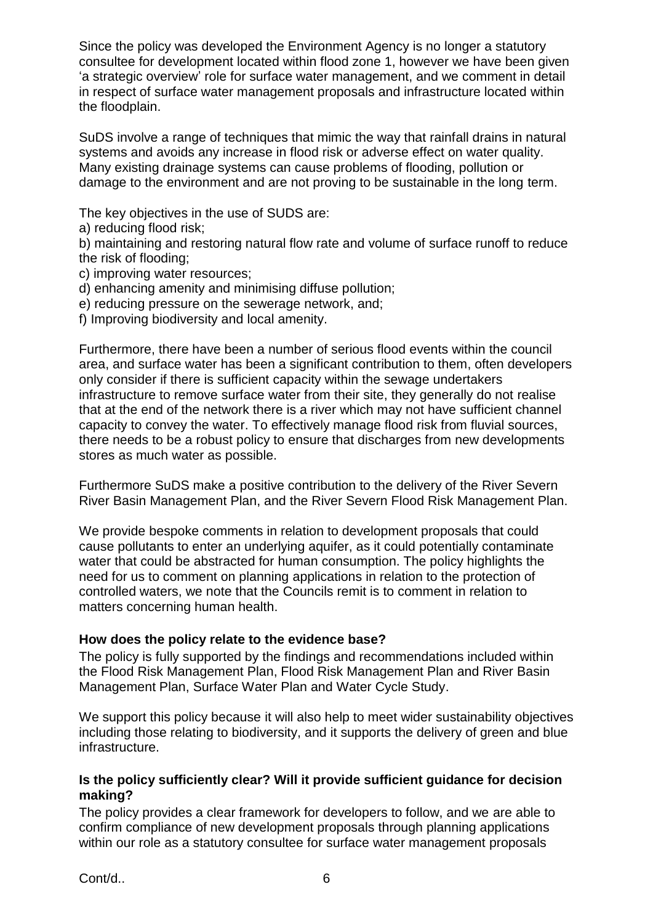Since the policy was developed the Environment Agency is no longer a statutory consultee for development located within flood zone 1, however we have been given 'a strategic overview' role for surface water management, and we comment in detail in respect of surface water management proposals and infrastructure located within the floodplain.

SuDS involve a range of techniques that mimic the way that rainfall drains in natural systems and avoids any increase in flood risk or adverse effect on water quality. Many existing drainage systems can cause problems of flooding, pollution or damage to the environment and are not proving to be sustainable in the long term.

The key objectives in the use of SUDS are:

a) reducing flood risk;

b) maintaining and restoring natural flow rate and volume of surface runoff to reduce the risk of flooding;

- c) improving water resources;
- d) enhancing amenity and minimising diffuse pollution;
- e) reducing pressure on the sewerage network, and;
- f) Improving biodiversity and local amenity.

Furthermore, there have been a number of serious flood events within the council area, and surface water has been a significant contribution to them, often developers only consider if there is sufficient capacity within the sewage undertakers infrastructure to remove surface water from their site, they generally do not realise that at the end of the network there is a river which may not have sufficient channel capacity to convey the water. To effectively manage flood risk from fluvial sources, there needs to be a robust policy to ensure that discharges from new developments stores as much water as possible.

Furthermore SuDS make a positive contribution to the delivery of the River Severn River Basin Management Plan, and the River Severn Flood Risk Management Plan.

We provide bespoke comments in relation to development proposals that could cause pollutants to enter an underlying aquifer, as it could potentially contaminate water that could be abstracted for human consumption. The policy highlights the need for us to comment on planning applications in relation to the protection of controlled waters, we note that the Councils remit is to comment in relation to matters concerning human health.

#### **How does the policy relate to the evidence base?**

The policy is fully supported by the findings and recommendations included within the Flood Risk Management Plan, Flood Risk Management Plan and River Basin Management Plan, Surface Water Plan and Water Cycle Study.

We support this policy because it will also help to meet wider sustainability objectives including those relating to biodiversity, and it supports the delivery of green and blue infrastructure.

## **Is the policy sufficiently clear? Will it provide sufficient guidance for decision making?**

The policy provides a clear framework for developers to follow, and we are able to confirm compliance of new development proposals through planning applications within our role as a statutory consultee for surface water management proposals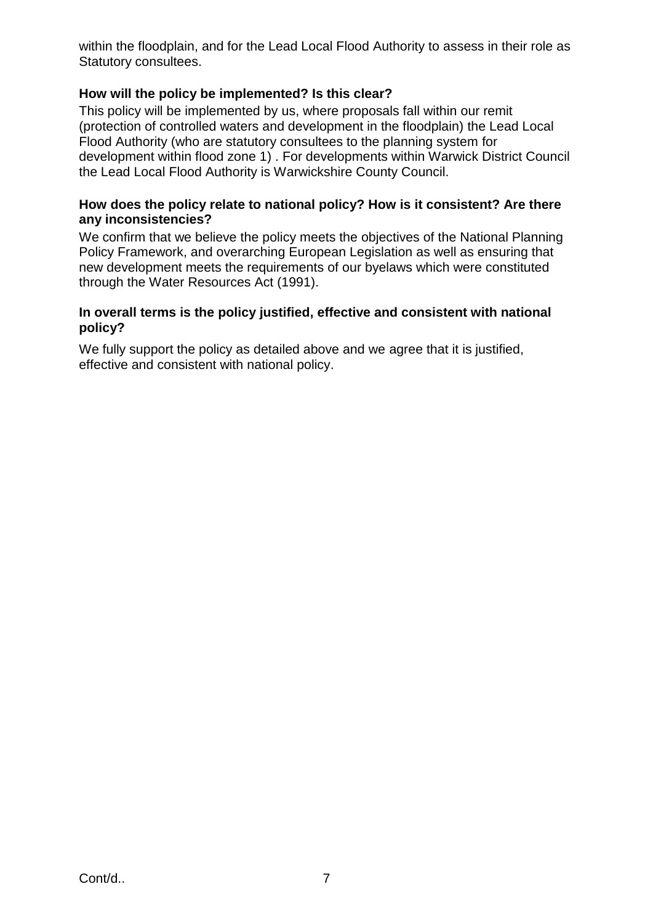within the floodplain, and for the Lead Local Flood Authority to assess in their role as Statutory consultees.

## **How will the policy be implemented? Is this clear?**

This policy will be implemented by us, where proposals fall within our remit (protection of controlled waters and development in the floodplain) the Lead Local Flood Authority (who are statutory consultees to the planning system for development within flood zone 1) . For developments within Warwick District Council the Lead Local Flood Authority is Warwickshire County Council.

#### **How does the policy relate to national policy? How is it consistent? Are there any inconsistencies?**

We confirm that we believe the policy meets the objectives of the National Planning Policy Framework, and overarching European Legislation as well as ensuring that new development meets the requirements of our byelaws which were constituted through the Water Resources Act (1991).

#### **In overall terms is the policy justified, effective and consistent with national policy?**

We fully support the policy as detailed above and we agree that it is justified, effective and consistent with national policy.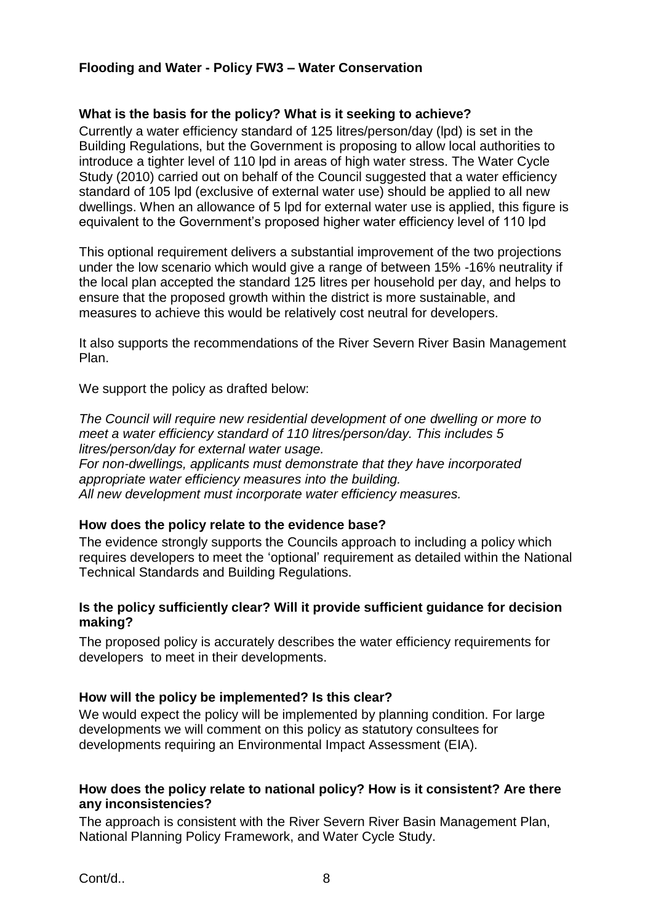#### **Flooding and Water - Policy FW3 – Water Conservation**

#### **What is the basis for the policy? What is it seeking to achieve?**

Currently a water efficiency standard of 125 litres/person/day (lpd) is set in the Building Regulations, but the Government is proposing to allow local authorities to introduce a tighter level of 110 lpd in areas of high water stress. The Water Cycle Study (2010) carried out on behalf of the Council suggested that a water efficiency standard of 105 lpd (exclusive of external water use) should be applied to all new dwellings. When an allowance of 5 lpd for external water use is applied, this figure is equivalent to the Government's proposed higher water efficiency level of 110 lpd

This optional requirement delivers a substantial improvement of the two projections under the low scenario which would give a range of between 15% -16% neutrality if the local plan accepted the standard 125 litres per household per day, and helps to ensure that the proposed growth within the district is more sustainable, and measures to achieve this would be relatively cost neutral for developers.

It also supports the recommendations of the River Severn River Basin Management Plan.

We support the policy as drafted below:

*The Council will require new residential development of one dwelling or more to meet a water efficiency standard of 110 litres/person/day. This includes 5 litres/person/day for external water usage. For non-dwellings, applicants must demonstrate that they have incorporated appropriate water efficiency measures into the building. All new development must incorporate water efficiency measures.*

#### **How does the policy relate to the evidence base?**

The evidence strongly supports the Councils approach to including a policy which requires developers to meet the 'optional' requirement as detailed within the National Technical Standards and Building Regulations.

#### **Is the policy sufficiently clear? Will it provide sufficient guidance for decision making?**

The proposed policy is accurately describes the water efficiency requirements for developers to meet in their developments.

## **How will the policy be implemented? Is this clear?**

We would expect the policy will be implemented by planning condition. For large developments we will comment on this policy as statutory consultees for developments requiring an Environmental Impact Assessment (EIA).

#### **How does the policy relate to national policy? How is it consistent? Are there any inconsistencies?**

The approach is consistent with the River Severn River Basin Management Plan, National Planning Policy Framework, and Water Cycle Study.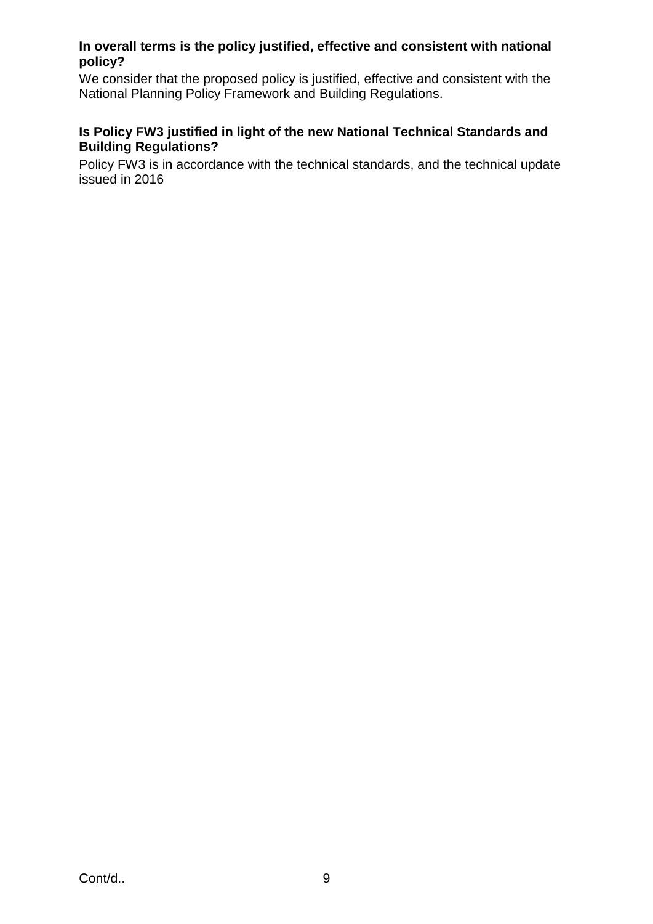## **In overall terms is the policy justified, effective and consistent with national policy?**

We consider that the proposed policy is justified, effective and consistent with the National Planning Policy Framework and Building Regulations.

## **Is Policy FW3 justified in light of the new National Technical Standards and Building Regulations?**

Policy FW3 is in accordance with the technical standards, and the technical update issued in 2016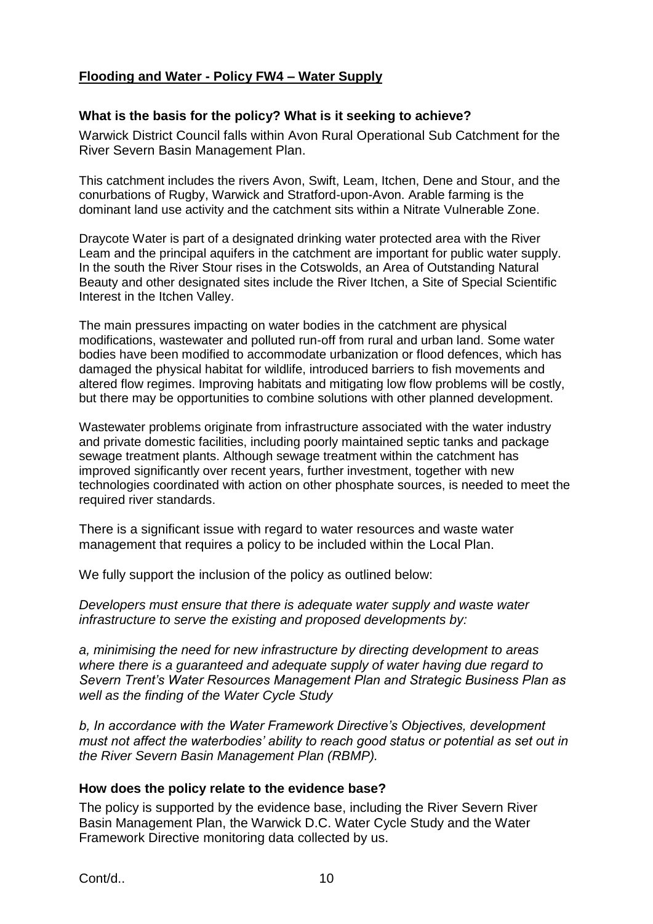## **Flooding and Water - Policy FW4 – Water Supply**

#### **What is the basis for the policy? What is it seeking to achieve?**

Warwick District Council falls within Avon Rural Operational Sub Catchment for the River Severn Basin Management Plan.

This catchment includes the rivers Avon, Swift, Leam, Itchen, Dene and Stour, and the conurbations of Rugby, Warwick and Stratford-upon-Avon. Arable farming is the dominant land use activity and the catchment sits within a Nitrate Vulnerable Zone.

Draycote Water is part of a designated drinking water protected area with the River Leam and the principal aquifers in the catchment are important for public water supply. In the south the River Stour rises in the Cotswolds, an Area of Outstanding Natural Beauty and other designated sites include the River Itchen, a Site of Special Scientific Interest in the Itchen Valley.

The main pressures impacting on water bodies in the catchment are physical modifications, wastewater and polluted run-off from rural and urban land. Some water bodies have been modified to accommodate urbanization or flood defences, which has damaged the physical habitat for wildlife, introduced barriers to fish movements and altered flow regimes. Improving habitats and mitigating low flow problems will be costly, but there may be opportunities to combine solutions with other planned development.

Wastewater problems originate from infrastructure associated with the water industry and private domestic facilities, including poorly maintained septic tanks and package sewage treatment plants. Although sewage treatment within the catchment has improved significantly over recent years, further investment, together with new technologies coordinated with action on other phosphate sources, is needed to meet the required river standards.

There is a significant issue with regard to water resources and waste water management that requires a policy to be included within the Local Plan.

We fully support the inclusion of the policy as outlined below:

*Developers must ensure that there is adequate water supply and waste water infrastructure to serve the existing and proposed developments by:*

*a, minimising the need for new infrastructure by directing development to areas where there is a guaranteed and adequate supply of water having due regard to Severn Trent's Water Resources Management Plan and Strategic Business Plan as well as the finding of the Water Cycle Study*

*b, In accordance with the Water Framework Directive's Objectives, development must not affect the waterbodies' ability to reach good status or potential as set out in the River Severn Basin Management Plan (RBMP).*

#### **How does the policy relate to the evidence base?**

The policy is supported by the evidence base, including the River Severn River Basin Management Plan, the Warwick D.C. Water Cycle Study and the Water Framework Directive monitoring data collected by us.

Cont/d.. 10